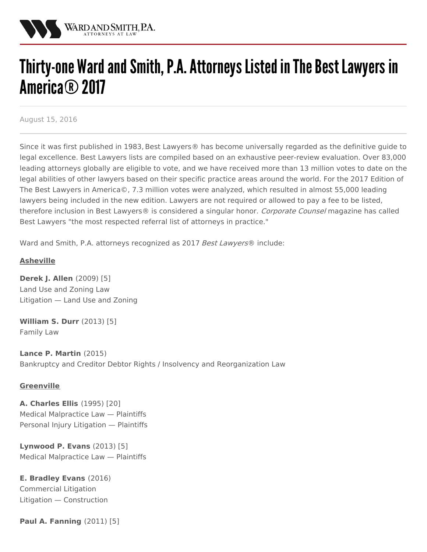

# Thirty-one Ward and Smith, P.A. Attorneys Listed in The Best Lawyers in America® 2017

August 15, 2016

Since it was first published in 1983, Best [Lawyers](http://www.bestlawyers.com/)® has become universally regarded as the definitive guide to legal excellence. Best Lawyers lists are compiled based on an exhaustive peer-review evaluation. Over 83,000 leading attorneys globally are eligible to vote, and we have received more than 13 million votes to date on the legal abilities of other lawyers based on their specific practice areas around the world. For the 2017 Edition of The Best Lawyers in America©, 7.3 million votes were analyzed, which resulted in almost 55,000 leading lawyers being included in the new edition. Lawyers are not required or allowed to pay a fee to be listed, therefore inclusion in Best Lawyers® is considered a singular honor. [Corporate](http://www.corpcounsel.com) Counsel magazine has called Best Lawyers "the most respected referral list of attorneys in practice."

Ward and Smith, P.A. attorneys recognized as 2017 Best Lawyers® include:

# **Asheville**

**[Derek](http://www.wardandsmith.com/attorneys/derek-allen) J. Allen** (2009) [5] Land Use and Zoning Law Litigation — Land Use and Zoning

**[William](http://www.wardandsmith.com/attorneys/william-durr) S. Durr** (2013) [5] Family Law

**Lance P. [Martin](http://www.wardandsmith.com/attorneys/lance-martin)** (2015) Bankruptcy and Creditor Debtor Rights / Insolvency and Reorganization Law

## **Greenville**

**A. [Charles](http://www.wardandsmith.com/attorneys/charles-ellis) Ellis** (1995) [20] Medical Malpractice Law — Plaintiffs Personal Injury Litigation — Plaintiffs

**[Lynwood](http://www.wardandsmith.com/attorneys/lynwood-evans) P. Evans** (2013) [5] Medical Malpractice Law — Plaintiffs

**E. [Bradley](http://www.wardandsmith.com/attorneys/bradley-evans) Evans** (2016) Commercial Litigation Litigation — Construction

**Paul A. [Fanning](http://www.wardandsmith.com/attorneys/paul-fanning)** (2011) [5]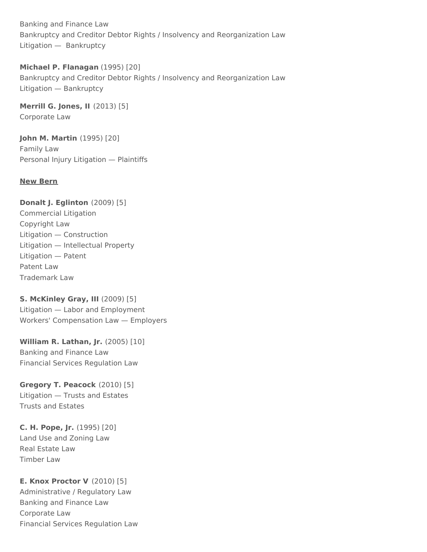Banking and Finance Law Bankruptcy and Creditor Debtor Rights / Insolvency and Reorganization Law Litigation — Bankruptcy

**Michael P. Flanagan** (1995) [20] Bankruptcy and Creditor Debtor Rights / Insolvency and Reorganization Law Litigation — Bankruptcy

**[Merrill](http://www.wardandsmith.com/attorneys/merrill-jones) G. Jones, II** (2013) [5] Corporate Law

**John M. [Martin](http://www.wardandsmith.com/attorneys/john-martin)** (1995) [20] Family Law Personal Injury Litigation — Plaintiffs

# **New Bern**

**Donalt J. [Eglinton](http://www.wardandsmith.com/attorneys/donalt-eglinton)** (2009) [5] Commercial Litigation Copyright Law Litigation — Construction Litigation — Intellectual Property Litigation — Patent Patent Law Trademark Law

**S. [McKinley](http://www.wardandsmith.com/attorneys/mckinley-gray) Gray, III** (2009) [5] Litigation — Labor and Employment Workers' Compensation Law — Employers

**William R. [Lathan,](http://www.wardandsmith.com/attorneys/william-lathan) Jr.** (2005) [10] Banking and Finance Law Financial Services Regulation Law

**Gregory T. [Peacock](http://www.wardandsmith.com/attorneys/gregory-peacock)** (2010) [5] Litigation — Trusts and Estates Trusts and Estates

**C. H. [Pope,](http://www.wardandsmith.com/attorneys/ch-pope) Jr.** (1995) [20] Land Use and Zoning Law Real Estate Law Timber Law

**E. Knox [Proctor](http://www.wardandsmith.com/attorneys/knox-proctor) V** (2010) [5] Administrative / Regulatory Law Banking and Finance Law Corporate Law Financial Services Regulation Law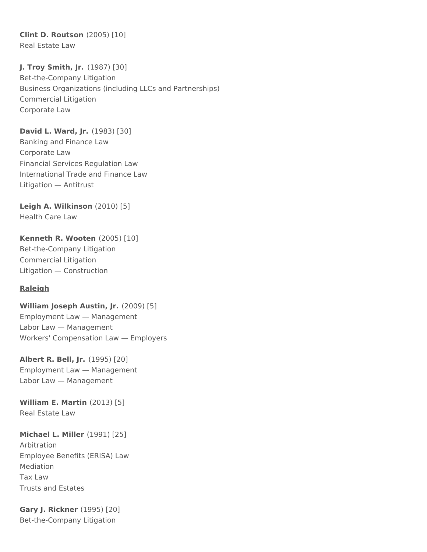**Clint D. [Routson](http://www.wardandsmith.com/attorneys/clint-routson)** (2005) [10] Real Estate Law

**J. Troy [Smith,](http://www.wardandsmith.com/attorneys/troy-smith) Jr.** (1987) [30] Bet-the-Company Litigation Business Organizations (including LLCs and Partnerships) Commercial Litigation Corporate Law

**David L. [Ward,](http://www.wardandsmith.com/attorneys/david-ward) Jr.** (1983) [30]

Banking and Finance Law Corporate Law Financial Services Regulation Law International Trade and Finance Law Litigation — Antitrust

**Leigh A. [Wilkinson](http://www.wardandsmith.com/attorneys/leigh-wilkinson)** (2010) [5] Health Care Law

**[Kenneth](http://www.wardandsmith.com/attorneys/kenneth-wooten) R. Wooten** (2005) [10] Bet-the-Company Litigation Commercial Litigation Litigation — Construction

## **Raleigh**

**William Joseph Austin, Jr.** (2009) [5] Employment Law — Management Labor Law — Management Workers' Compensation Law — Employers

**[Albert](http://www.wardandsmith.com/attorneys/albert-bell) R. Bell, Jr.** (1995) [20] Employment Law — Management Labor Law — Management

**[William](http://www.wardandsmith.com/attorneys/william-martin) E. Martin** (2013) [5] Real Estate Law

#### **Michael L. Miller** (1991) [25]

Arbitration Employee Benefits (ERISA) Law Mediation Tax Law Trusts and Estates

**Gary J. [Rickner](http://www.wardandsmith.com/attorneys/gary-rickner)** (1995) [20] Bet-the-Company Litigation